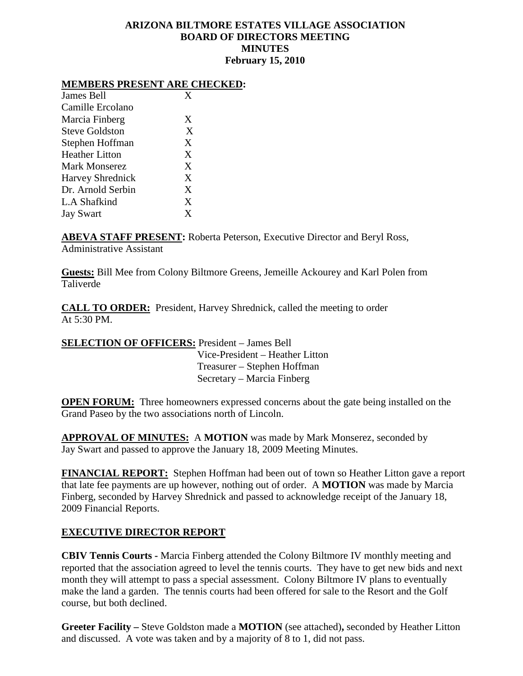## **ARIZONA BILTMORE ESTATES VILLAGE ASSOCIATION BOARD OF DIRECTORS MEETING MINUTES February 15, 2010**

# **MEMBERS PRESENT ARE CHECKED:**

| X |
|---|
|   |
| X |
| X |
| X |
| X |
| X |
| X |
| X |
| X |
| X |
|   |

**ABEVA STAFF PRESENT:** Roberta Peterson, Executive Director and Beryl Ross, Administrative Assistant

**Guests:** Bill Mee from Colony Biltmore Greens, Jemeille Ackourey and Karl Polen from Taliverde

**CALL TO ORDER:** President, Harvey Shrednick, called the meeting to order At 5:30 PM.

**SELECTION OF OFFICERS:** President – James Bell Vice-President – Heather Litton Treasurer – Stephen Hoffman Secretary – Marcia Finberg

**OPEN FORUM:** Three homeowners expressed concerns about the gate being installed on the Grand Paseo by the two associations north of Lincoln.

**APPROVAL OF MINUTES:** A **MOTION** was made by Mark Monserez, seconded by Jay Swart and passed to approve the January 18, 2009 Meeting Minutes.

**FINANCIAL REPORT:** Stephen Hoffman had been out of town so Heather Litton gave a report that late fee payments are up however, nothing out of order. A **MOTION** was made by Marcia Finberg, seconded by Harvey Shrednick and passed to acknowledge receipt of the January 18, 2009 Financial Reports.

# **EXECUTIVE DIRECTOR REPORT**

**CBIV Tennis Courts -** Marcia Finberg attended the Colony Biltmore IV monthly meeting and reported that the association agreed to level the tennis courts. They have to get new bids and next month they will attempt to pass a special assessment. Colony Biltmore IV plans to eventually make the land a garden. The tennis courts had been offered for sale to the Resort and the Golf course, but both declined.

**Greeter Facility –** Steve Goldston made a **MOTION** (see attached)**,** seconded by Heather Litton and discussed. A vote was taken and by a majority of 8 to 1, did not pass.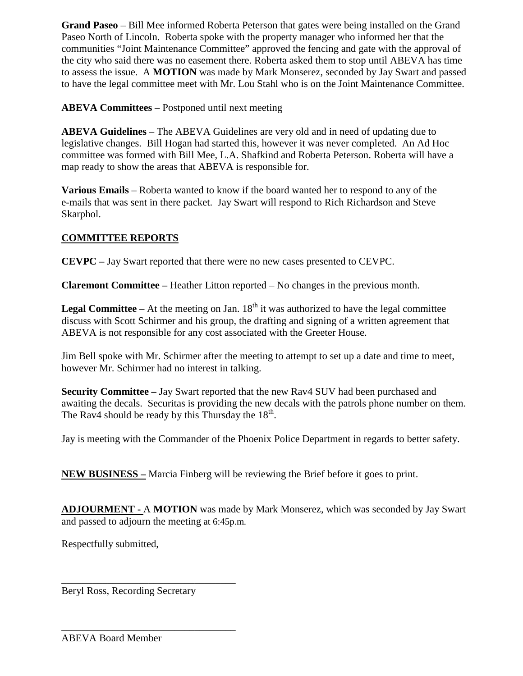**Grand Paseo** – Bill Mee informed Roberta Peterson that gates were being installed on the Grand Paseo North of Lincoln. Roberta spoke with the property manager who informed her that the communities "Joint Maintenance Committee" approved the fencing and gate with the approval of the city who said there was no easement there. Roberta asked them to stop until ABEVA has time to assess the issue. A **MOTION** was made by Mark Monserez, seconded by Jay Swart and passed to have the legal committee meet with Mr. Lou Stahl who is on the Joint Maintenance Committee.

**ABEVA Committees** – Postponed until next meeting

**ABEVA Guidelines** – The ABEVA Guidelines are very old and in need of updating due to legislative changes. Bill Hogan had started this, however it was never completed. An Ad Hoc committee was formed with Bill Mee, L.A. Shafkind and Roberta Peterson. Roberta will have a map ready to show the areas that ABEVA is responsible for.

**Various Emails** – Roberta wanted to know if the board wanted her to respond to any of the e-mails that was sent in there packet. Jay Swart will respond to Rich Richardson and Steve Skarphol.

# **COMMITTEE REPORTS**

**CEVPC –** Jay Swart reported that there were no new cases presented to CEVPC.

**Claremont Committee –** Heather Litton reported – No changes in the previous month.

**Legal Committee** – At the meeting on Jan.  $18<sup>th</sup>$  it was authorized to have the legal committee discuss with Scott Schirmer and his group, the drafting and signing of a written agreement that ABEVA is not responsible for any cost associated with the Greeter House.

Jim Bell spoke with Mr. Schirmer after the meeting to attempt to set up a date and time to meet, however Mr. Schirmer had no interest in talking.

**Security Committee –** Jay Swart reported that the new Rav4 SUV had been purchased and awaiting the decals. Securitas is providing the new decals with the patrols phone number on them. The Rav4 should be ready by this Thursday the  $18<sup>th</sup>$ .

Jay is meeting with the Commander of the Phoenix Police Department in regards to better safety.

**NEW BUSINESS –** Marcia Finberg will be reviewing the Brief before it goes to print.

**ADJOURMENT -** A **MOTION** was made by Mark Monserez, which was seconded by Jay Swart and passed to adjourn the meeting at 6:45p.m.

Respectfully submitted,

Beryl Ross, Recording Secretary

\_\_\_\_\_\_\_\_\_\_\_\_\_\_\_\_\_\_\_\_\_\_\_\_\_\_\_\_\_\_\_\_\_\_

\_\_\_\_\_\_\_\_\_\_\_\_\_\_\_\_\_\_\_\_\_\_\_\_\_\_\_\_\_\_\_\_\_\_